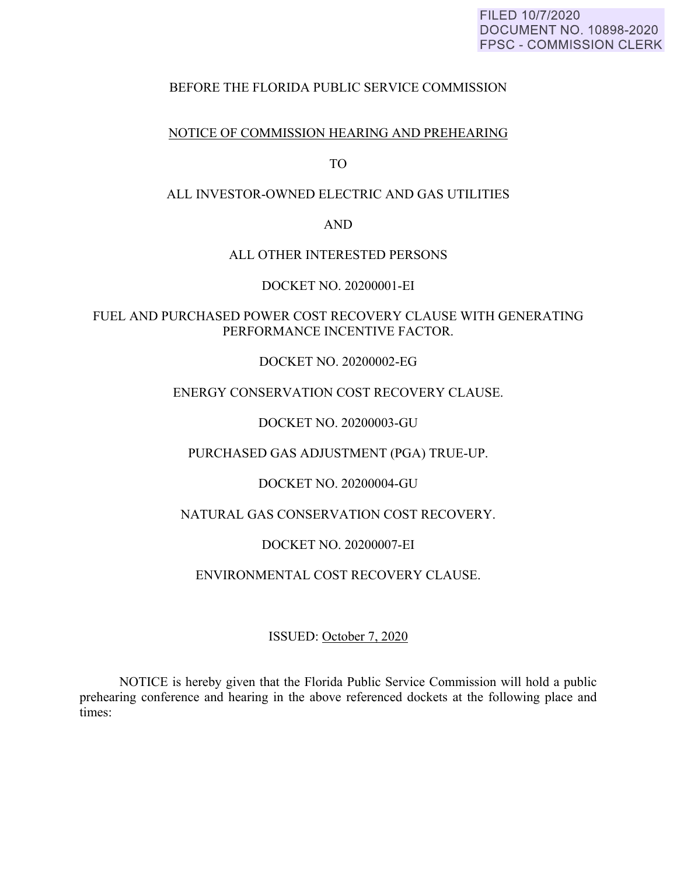### FILED 10/7/2020 **DOCUMENT NO. 10898-2020 FPSC - COMMISSION CLERK**

# BEFORE THE FLORIDA PUBLIC SERVICE COMMISSION

## NOTICE OF COMMISSION HEARING AND PREHEARING

TO

## ALL INVESTOR-OWNED ELECTRIC AND GAS UTILITIES

AND

### ALL OTHER INTERESTED PERSONS

DOCKET NO. 20200001-EI

FUEL AND PURCHASED POWER COST RECOVERY CLAUSE WITH GENERATING PERFORMANCE INCENTIVE FACTOR.

DOCKET NO. 20200002-EG

# ENERGY CONSERVATION COST RECOVERY CLAUSE.

DOCKET NO. 20200003-GU

PURCHASED GAS ADJUSTMENT (PGA) TRUE-UP.

DOCKET NO. 20200004-GU

NATURAL GAS CONSERVATION COST RECOVERY.

DOCKET NO. 20200007-EI

ENVIRONMENTAL COST RECOVERY CLAUSE.

ISSUED: October 7, 2020

 NOTICE is hereby given that the Florida Public Service Commission will hold a public prehearing conference and hearing in the above referenced dockets at the following place and times: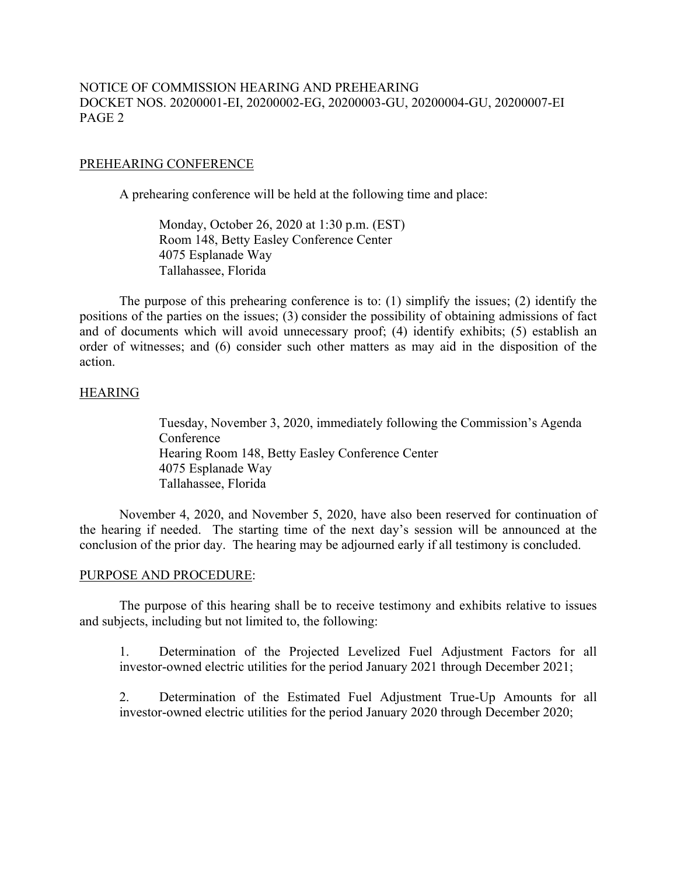# NOTICE OF COMMISSION HEARING AND PREHEARING DOCKET NOS. 20200001-EI, 20200002-EG, 20200003-GU, 20200004-GU, 20200007-EI PAGE 2

### PREHEARING CONFERENCE

A prehearing conference will be held at the following time and place:

 Monday, October 26, 2020 at 1:30 p.m. (EST) Room 148, Betty Easley Conference Center 4075 Esplanade Way Tallahassee, Florida

 The purpose of this prehearing conference is to: (1) simplify the issues; (2) identify the positions of the parties on the issues; (3) consider the possibility of obtaining admissions of fact and of documents which will avoid unnecessary proof; (4) identify exhibits; (5) establish an order of witnesses; and (6) consider such other matters as may aid in the disposition of the action.

#### HEARING

Tuesday, November 3, 2020, immediately following the Commission's Agenda Conference Hearing Room 148, Betty Easley Conference Center 4075 Esplanade Way Tallahassee, Florida

 November 4, 2020, and November 5, 2020, have also been reserved for continuation of the hearing if needed. The starting time of the next day's session will be announced at the conclusion of the prior day. The hearing may be adjourned early if all testimony is concluded.

#### PURPOSE AND PROCEDURE:

 The purpose of this hearing shall be to receive testimony and exhibits relative to issues and subjects, including but not limited to, the following:

1. Determination of the Projected Levelized Fuel Adjustment Factors for all investor-owned electric utilities for the period January 2021 through December 2021;

2. Determination of the Estimated Fuel Adjustment True-Up Amounts for all investor-owned electric utilities for the period January 2020 through December 2020;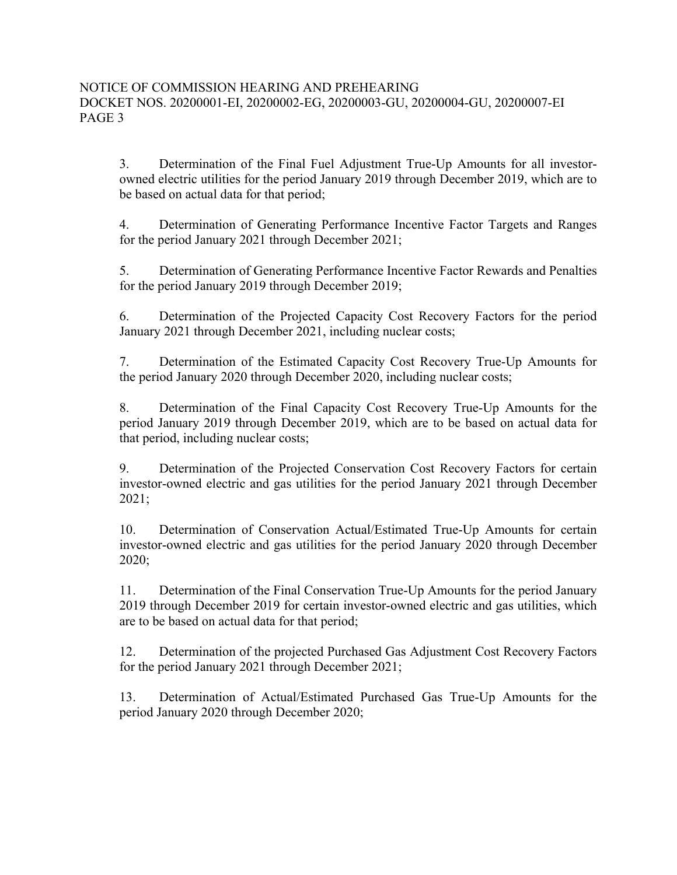3. Determination of the Final Fuel Adjustment True-Up Amounts for all investorowned electric utilities for the period January 2019 through December 2019, which are to be based on actual data for that period;

4. Determination of Generating Performance Incentive Factor Targets and Ranges for the period January 2021 through December 2021;

5. Determination of Generating Performance Incentive Factor Rewards and Penalties for the period January 2019 through December 2019;

6. Determination of the Projected Capacity Cost Recovery Factors for the period January 2021 through December 2021, including nuclear costs;

7. Determination of the Estimated Capacity Cost Recovery True-Up Amounts for the period January 2020 through December 2020, including nuclear costs;

8. Determination of the Final Capacity Cost Recovery True-Up Amounts for the period January 2019 through December 2019, which are to be based on actual data for that period, including nuclear costs;

9. Determination of the Projected Conservation Cost Recovery Factors for certain investor-owned electric and gas utilities for the period January 2021 through December 2021;

10. Determination of Conservation Actual/Estimated True-Up Amounts for certain investor-owned electric and gas utilities for the period January 2020 through December 2020;

11. Determination of the Final Conservation True-Up Amounts for the period January 2019 through December 2019 for certain investor-owned electric and gas utilities, which are to be based on actual data for that period;

12. Determination of the projected Purchased Gas Adjustment Cost Recovery Factors for the period January 2021 through December 2021;

13. Determination of Actual/Estimated Purchased Gas True-Up Amounts for the period January 2020 through December 2020;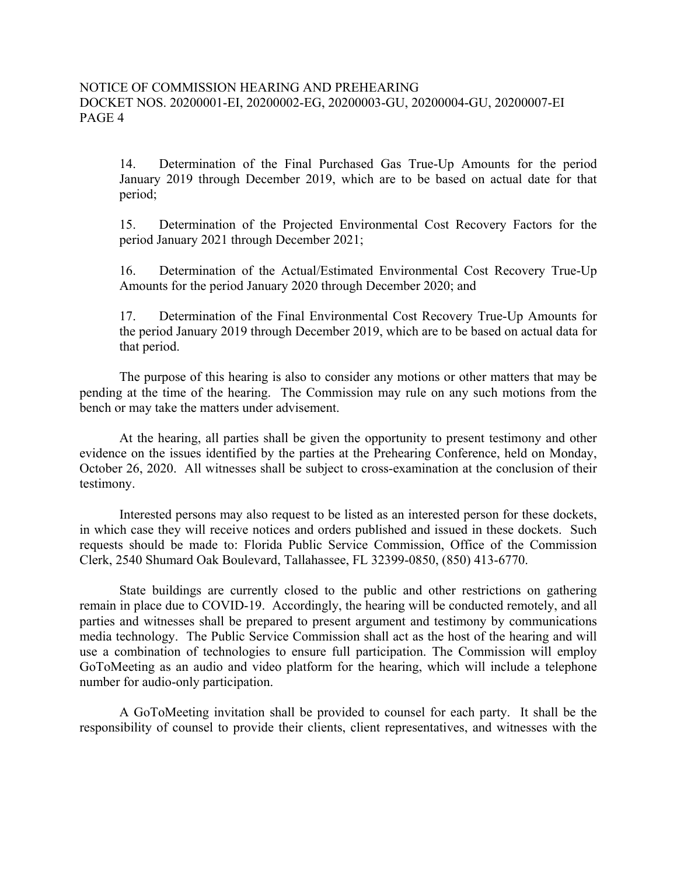14. Determination of the Final Purchased Gas True-Up Amounts for the period January 2019 through December 2019, which are to be based on actual date for that period;

15. Determination of the Projected Environmental Cost Recovery Factors for the period January 2021 through December 2021;

16. Determination of the Actual/Estimated Environmental Cost Recovery True-Up Amounts for the period January 2020 through December 2020; and

17. Determination of the Final Environmental Cost Recovery True-Up Amounts for the period January 2019 through December 2019, which are to be based on actual data for that period.

 The purpose of this hearing is also to consider any motions or other matters that may be pending at the time of the hearing. The Commission may rule on any such motions from the bench or may take the matters under advisement.

 At the hearing, all parties shall be given the opportunity to present testimony and other evidence on the issues identified by the parties at the Prehearing Conference, held on Monday, October 26, 2020. All witnesses shall be subject to cross-examination at the conclusion of their testimony.

Interested persons may also request to be listed as an interested person for these dockets, in which case they will receive notices and orders published and issued in these dockets. Such requests should be made to: Florida Public Service Commission, Office of the Commission Clerk, 2540 Shumard Oak Boulevard, Tallahassee, FL 32399-0850, (850) 413-6770.

 State buildings are currently closed to the public and other restrictions on gathering remain in place due to COVID-19. Accordingly, the hearing will be conducted remotely, and all parties and witnesses shall be prepared to present argument and testimony by communications media technology. The Public Service Commission shall act as the host of the hearing and will use a combination of technologies to ensure full participation. The Commission will employ GoToMeeting as an audio and video platform for the hearing, which will include a telephone number for audio-only participation.

A GoToMeeting invitation shall be provided to counsel for each party. It shall be the responsibility of counsel to provide their clients, client representatives, and witnesses with the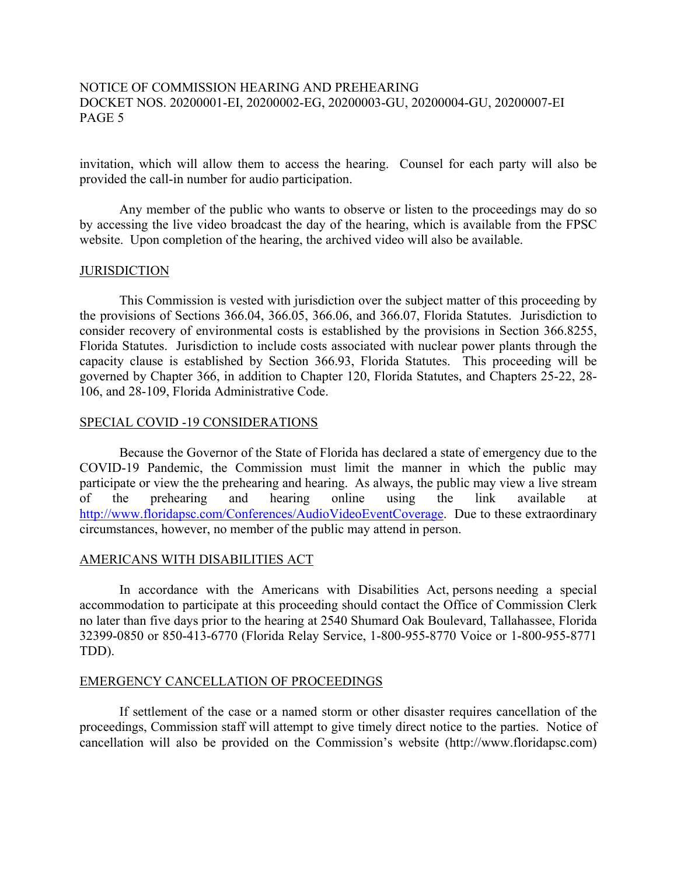# NOTICE OF COMMISSION HEARING AND PREHEARING DOCKET NOS. 20200001-EI, 20200002-EG, 20200003-GU, 20200004-GU, 20200007-EI PAGE 5

invitation, which will allow them to access the hearing. Counsel for each party will also be provided the call-in number for audio participation.

 Any member of the public who wants to observe or listen to the proceedings may do so by accessing the live video broadcast the day of the hearing, which is available from the FPSC website. Upon completion of the hearing, the archived video will also be available.

#### JURISDICTION

 This Commission is vested with jurisdiction over the subject matter of this proceeding by the provisions of Sections 366.04, 366.05, 366.06, and 366.07, Florida Statutes. Jurisdiction to consider recovery of environmental costs is established by the provisions in Section 366.8255, Florida Statutes. Jurisdiction to include costs associated with nuclear power plants through the capacity clause is established by Section 366.93, Florida Statutes. This proceeding will be governed by Chapter 366, in addition to Chapter 120, Florida Statutes, and Chapters 25-22, 28- 106, and 28-109, Florida Administrative Code.

### SPECIAL COVID -19 CONSIDERATIONS

 Because the Governor of the State of Florida has declared a state of emergency due to the COVID-19 Pandemic, the Commission must limit the manner in which the public may participate or view the the prehearing and hearing. As always, the public may view a live stream of the prehearing and hearing online using the link available at http://www.floridapsc.com/Conferences/AudioVideoEventCoverage. Due to these extraordinary circumstances, however, no member of the public may attend in person.

### AMERICANS WITH DISABILITIES ACT

 In accordance with the Americans with Disabilities Act, persons needing a special accommodation to participate at this proceeding should contact the Office of Commission Clerk no later than five days prior to the hearing at 2540 Shumard Oak Boulevard, Tallahassee, Florida 32399-0850 or 850-413-6770 (Florida Relay Service, 1-800-955-8770 Voice or 1-800-955-8771 TDD).

### EMERGENCY CANCELLATION OF PROCEEDINGS

If settlement of the case or a named storm or other disaster requires cancellation of the proceedings, Commission staff will attempt to give timely direct notice to the parties. Notice of cancellation will also be provided on the Commission's website (http://www.floridapsc.com)